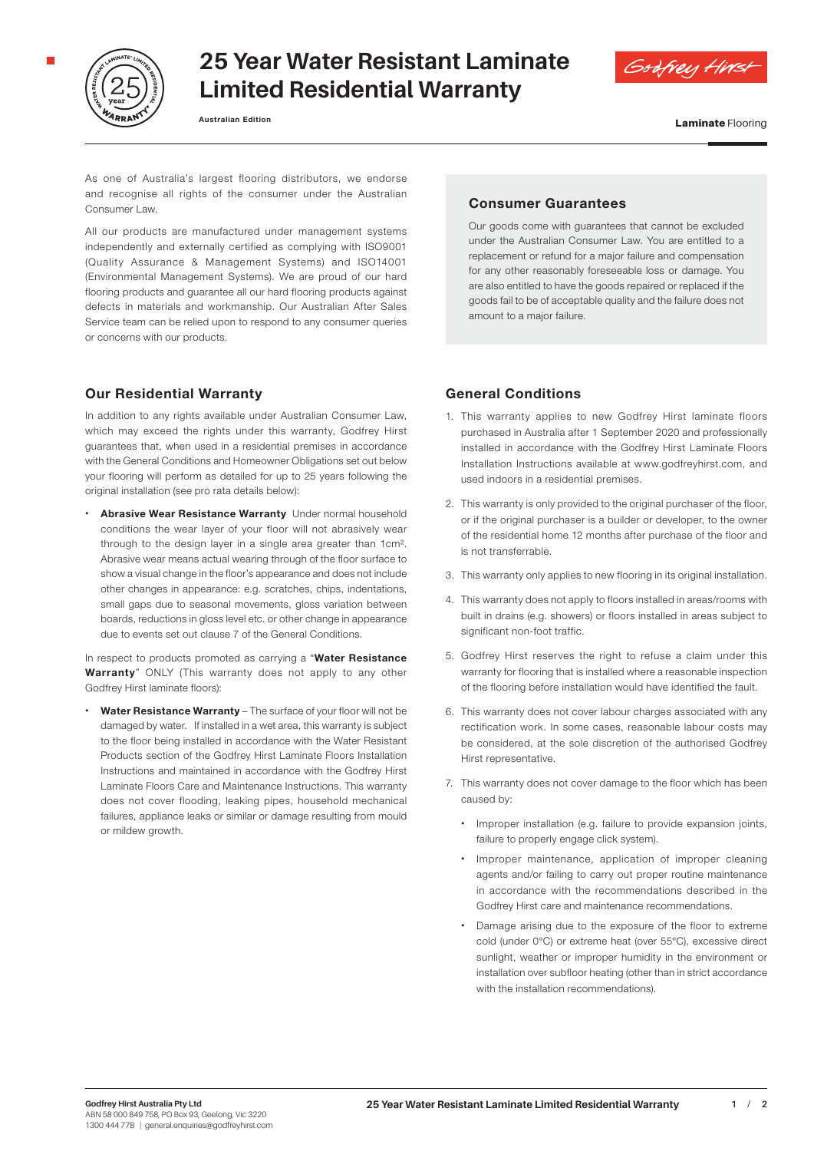

## **25 Year Water Resistant Laminate Limited Residential Warranty**

**Australian Edition**

**Laminate Flooring** 

Godfrey Hirs

As one of Australia's largest flooring distributors, we endorse and recognise all rights of the consumer under the Australian Consumer Law.

All our products are manufactured under management systems independently and externally certified as complying with ISO9001 (Quality Assurance & Management Systems) and ISO14001 (Environmental Management Systems). We are proud of our hard flooring products and guarantee all our hard flooring products against defects in materials and workmanship. Our Australian After Sales Service team can be relied upon to respond to any consumer queries or concerns with our products.

## **Our Residential Warranty**

In addition to any rights available under Australian Consumer Law. which may exceed the rights under this warranty. Godfrey Hirst guarantees that, when used in a residential premises in accordance with the General Conditions and Homeowner Obligations set out below your flooring will perform as detailed for up to 25 years following the original installation (see pro rata details below):

• **Abrasive Wear Resistance Warranty** Under normal household conditions the wear layer of your floor will not abrasively wear through to the design layer in a single area greater than 1cm². Abrasive wear means actual wearing through of the floor surface to show a visual change in the floor's appearance and does not include other changes in appearance: e.g. scratches, chips, indentations, small gaps due to seasonal movements, gloss variation between boards, reductions in gloss level etc. or other change in appearance due to events set out clause 7 of the General Conditions.

In respect to products promoted as carrying a "**Water Resistance Warranty**" ONLY (This warranty does not apply to any other Godfrey Hirst laminate floors):

• **Water Resistance Warranty** – The surface of your floor will not be damaged by water. If installed in a wet area, this warranty is subject to the floor being installed in accordance with the Water Resistant Products section of the Godfrey Hirst Laminate Floors Installation Instructions and maintained in accordance with the Godfrey Hirst Laminate Floors Care and Maintenance Instructions. This warranty does not cover flooding, leaking pipes, household mechanical failures, appliance leaks or similar or damage resulting from mould or mildew growth.

### **Consumer Guarantees**

Our goods come with guarantees that cannot be excluded under the Australian Consumer Law. You are entitled to a replacement or refund for a major failure and compensation for any other reasonably foreseeable loss or damage. You are also entitled to have the goods repaired or replaced if the goods fail to be of acceptable quality and the failure does not amount to a major failure.

## **General Conditions**

- 1. This warranty applies to new Godfrey Hirst laminate floors purchased in Australia after 1 September 2020 and professionally installed in accordance with the Godfrey Hirst Laminate Floors Installation Instructions available at www.godfreyhirst.com, and used indoors in a residential premises.
- 2. This warranty is only provided to the original purchaser of the floor, or if the original purchaser is a builder or developer, to the owner of the residential home 12 months after purchase of the floor and is not transferrable.
- 3. This warranty only applies to new flooring in its original installation.
- 4. This warranty does not apply to floors installed in areas/rooms with built in drains (e.g. showers) or floors installed in areas subject to significant non-foot traffic.
- 5. Godfrey Hirst reserves the right to refuse a claim under this warranty for flooring that is installed where a reasonable inspection of the flooring before installation would have identified the fault.
- 6. This warranty does not cover labour charges associated with any rectification work. In some cases, reasonable labour costs may be considered, at the sole discretion of the authorised Godfrey Hirst representative.
- 7. This warranty does not cover damage to the floor which has been caused by:
	- Improper installation (e.g. failure to provide expansion joints, failure to properly engage click system).
	- Improper maintenance, application of improper cleaning agents and/or failing to carry out proper routine maintenance in accordance with the recommendations described in the Godfrey Hirst care and maintenance recommendations.
	- Damage arising due to the exposure of the floor to extreme cold (under 0°C) or extreme heat (over 55°C), excessive direct sunlight, weather or improper humidity in the environment or installation over subfloor heating (other than in strict accordance with the installation recommendations).